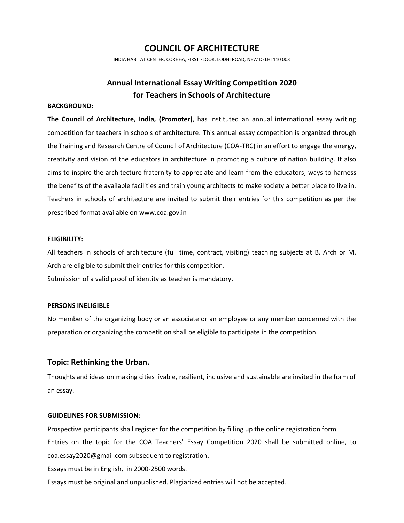## **COUNCIL OF ARCHITECTURE**

INDIA HABITAT CENTER, CORE 6A, FIRST FLOOR, LODHI ROAD, NEW DELHI 110 003

# **Annual International Essay Writing Competition 2020 for Teachers in Schools of Architecture**

## **BACKGROUND:**

**The Council of Architecture, India, (Promoter)**, has instituted an annual international essay writing competition for teachers in schools of architecture. This annual essay competition is organized through the Training and Research Centre of Council of Architecture (COA-TRC) in an effort to engage the energy, creativity and vision of the educators in architecture in promoting a culture of nation building. It also aims to inspire the architecture fraternity to appreciate and learn from the educators, ways to harness the benefits of the available facilities and train young architects to make society a better place to live in. Teachers in schools of architecture are invited to submit their entries for this competition as per the prescribed format available on www.coa.gov.in

#### **ELIGIBILITY:**

All teachers in schools of architecture (full time, contract, visiting) teaching subjects at B. Arch or M. Arch are eligible to submit their entries for this competition.

Submission of a valid proof of identity as teacher is mandatory.

#### **PERSONS INELIGIBLE**

No member of the organizing body or an associate or an employee or any member concerned with the preparation or organizing the competition shall be eligible to participate in the competition.

## **Topic: Rethinking the Urban.**

Thoughts and ideas on making cities livable, resilient, inclusive and sustainable are invited in the form of an essay.

#### **GUIDELINES FOR SUBMISSION:**

Prospective participants shall register for the competition by filling up the online registration form. Entries on the topic for the COA Teachers' Essay Competition 2020 shall be submitted online, to coa.essay2020@gmail.com subsequent to registration.

Essays must be in English, in 2000-2500 words.

Essays must be original and unpublished. Plagiarized entries will not be accepted.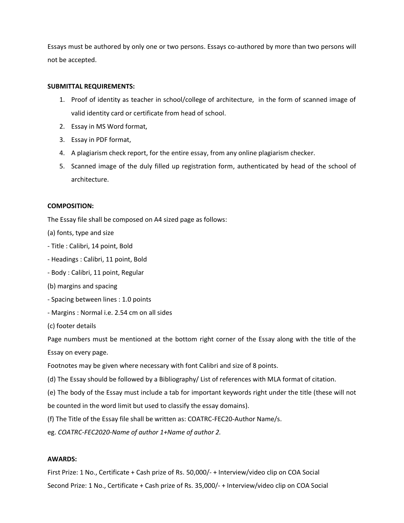Essays must be authored by only one or two persons. Essays co-authored by more than two persons will not be accepted.

## **SUBMITTAL REQUIREMENTS:**

- 1. Proof of identity as teacher in school/college of architecture, in the form of scanned image of valid identity card or certificate from head of school.
- 2. Essay in MS Word format,
- 3. Essay in PDF format,
- 4. A plagiarism check report, for the entire essay, from any online plagiarism checker.
- 5. Scanned image of the duly filled up registration form, authenticated by head of the school of architecture.

## **COMPOSITION:**

The Essay file shall be composed on A4 sized page as follows:

- (a) fonts, type and size
- Title : Calibri, 14 point, Bold
- Headings : Calibri, 11 point, Bold
- Body : Calibri, 11 point, Regular
- (b) margins and spacing
- Spacing between lines : 1.0 points
- Margins : Normal i.e. 2.54 cm on all sides
- (c) footer details

Page numbers must be mentioned at the bottom right corner of the Essay along with the title of the Essay on every page.

Footnotes may be given where necessary with font Calibri and size of 8 points.

(d) The Essay should be followed by a Bibliography/ List of references with MLA format of citation.

(e) The body of the Essay must include a tab for important keywords right under the title (these will not

be counted in the word limit but used to classify the essay domains).

(f) The Title of the Essay file shall be written as: COATRC-FEC20-Author Name/s.

eg. *COATRC-FEC2020-Name of author 1+Name of author 2.*

#### **AWARDS:**

First Prize: 1 No., Certificate + Cash prize of Rs. 50,000/- + Interview/video clip on COA Social Second Prize: 1 No., Certificate + Cash prize of Rs. 35,000/- + Interview/video clip on COA Social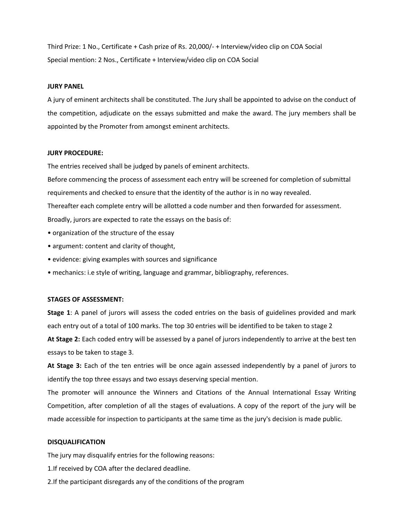Third Prize: 1 No., Certificate + Cash prize of Rs. 20,000/- + Interview/video clip on COA Social Special mention: 2 Nos., Certificate + Interview/video clip on COA Social

#### **JURY PANEL**

A jury of eminent architects shall be constituted. The Jury shall be appointed to advise on the conduct of the competition, adjudicate on the essays submitted and make the award. The jury members shall be appointed by the Promoter from amongst eminent architects.

#### **JURY PROCEDURE:**

The entries received shall be judged by panels of eminent architects.

Before commencing the process of assessment each entry will be screened for completion of submittal requirements and checked to ensure that the identity of the author is in no way revealed. Thereafter each complete entry will be allotted a code number and then forwarded for assessment.

Broadly, jurors are expected to rate the essays on the basis of:

- organization of the structure of the essay
- argument: content and clarity of thought,
- evidence: giving examples with sources and significance
- mechanics: i.e style of writing, language and grammar, bibliography, references.

#### **STAGES OF ASSESSMENT:**

**Stage 1**: A panel of jurors will assess the coded entries on the basis of guidelines provided and mark each entry out of a total of 100 marks. The top 30 entries will be identified to be taken to stage 2

**At Stage 2:** Each coded entry will be assessed by a panel of jurors independently to arrive at the best ten essays to be taken to stage 3.

**At Stage 3:** Each of the ten entries will be once again assessed independently by a panel of jurors to identify the top three essays and two essays deserving special mention.

The promoter will announce the Winners and Citations of the Annual International Essay Writing Competition, after completion of all the stages of evaluations. A copy of the report of the jury will be made accessible for inspection to participants at the same time as the jury's decision is made public.

#### **DISQUALIFICATION**

The jury may disqualify entries for the following reasons:

1.If received by COA after the declared deadline.

2.If the participant disregards any of the conditions of the program